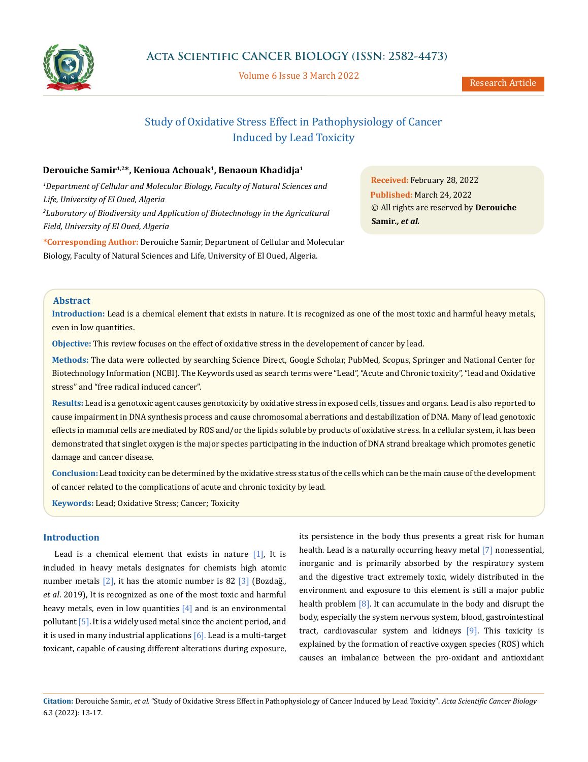

Volume 6 Issue 3 March 2022

# Study of Oxidative Stress Effect in Pathophysiology of Cancer Induced by Lead Toxicity

# **Derouiche Samir1,2\*, Kenioua Achouak1, Benaoun Khadidja1**

*1 Department of Cellular and Molecular Biology, Faculty of Natural Sciences and Life, University of El Oued, Algeria* <sup>2</sup> Laboratory of Biodiversity and Application of Biotechnology in the Agricultural *Field, University of El Oued, Algeria*

**\*Corresponding Author:** Derouiche Samir, Department of Cellular and Molecular Biology, Faculty of Natural Sciences and Life, University of El Oued, Algeria.

**Received:** February 28, 2022 **Published:** March 24, 2022 © All rights are reserved by **Derouiche Samir***., et al.*

# **Abstract**

**Introduction:** Lead is a chemical element that exists in nature. It is recognized as one of the most toxic and harmful heavy metals, even in low quantities.

**Objective:** This review focuses on the effect of oxidative stress in the developement of cancer by lead.

**Methods:** The data were collected by searching Science Direct, Google Scholar, PubMed, Scopus, Springer and National Center for Biotechnology Information (NCBI). The Keywords used as search terms were "Lead", "Acute and Chronic toxicity", "lead and Oxidative stress" and "free radical induced cancer".

**Results:** Lead is a genotoxic agent causes genotoxicity by oxidative stress in exposed cells, tissues and organs. Lead is also reported to cause impairment in DNA synthesis process and cause chromosomal aberrations and destabilization of DNA. Many of lead genotoxic effects in mammal cells are mediated by ROS and/or the lipids soluble by products of oxidative stress. In a cellular system, it has been demonstrated that singlet oxygen is the major species participating in the induction of DNA strand breakage which promotes genetic damage and cancer disease.

**Conclusion:** Lead toxicity can be determined by the oxidative stress status of the cells which can be the main cause of the development of cancer related to the complications of acute and chronic toxicity by lead.

**Keywords:** Lead; Oxidative Stress; Cancer; Toxicity

# **Introduction**

Lead is a chemical element that exists in nature  $[1]$ , It is included in heavy metals designates for chemists high atomic number metals  $\lceil 2 \rceil$ , it has the atomic number is 82  $\lceil 3 \rceil$  (Bozdağ., *et al*. 2019), It is recognized as one of the most toxic and harmful heavy metals, even in low quantities  $[4]$  and is an environmental pollutant  $\lceil 5 \rceil$ . It is a widely used metal since the ancient period, and it is used in many industrial applications  $[6]$ . Lead is a multi-target toxicant, capable of causing different alterations during exposure, its persistence in the body thus presents a great risk for human health. Lead is a naturally occurring heavy metal [7] nonessential, inorganic and is primarily absorbed by the respiratory system and the digestive tract extremely toxic, widely distributed in the environment and exposure to this element is still a major public health problem  $[8]$ . It can accumulate in the body and disrupt the body, especially the system nervous system, blood, gastrointestinal tract, cardiovascular system and kidneys [9]. This toxicity is explained by the formation of reactive oxygen species (ROS) which causes an imbalance between the pro-oxidant and antioxidant

**Citation:** Derouiche Samir., *et al.* "Study of Oxidative Stress Effect in Pathophysiology of Cancer Induced by Lead Toxicity". *Acta Scientific Cancer Biology*  6.3 (2022): 13-17.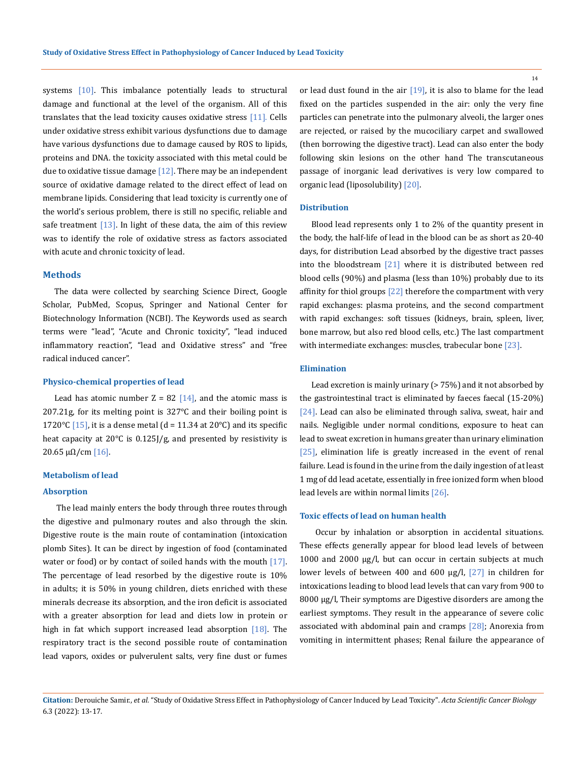systems [10]. This imbalance potentially leads to structural damage and functional at the level of the organism. All of this translates that the lead toxicity causes oxidative stress  $[11]$ . Cells under oxidative stress exhibit various dysfunctions due to damage have various dysfunctions due to damage caused by ROS to lipids, proteins and DNA. the toxicity associated with this metal could be due to oxidative tissue damage  $[12]$ . There may be an independent source of oxidative damage related to the direct effect of lead on membrane lipids. Considering that lead toxicity is currently one of the world's serious problem, there is still no specific, reliable and safe treatment  $[13]$ . In light of these data, the aim of this review was to identify the role of oxidative stress as factors associated with acute and chronic toxicity of lead.

# **Methods**

The data were collected by searching Science Direct, Google Scholar, PubMed, Scopus, Springer and National Center for Biotechnology Information (NCBI). The Keywords used as search terms were "lead", "Acute and Chronic toxicity", "lead induced inflammatory reaction", "lead and Oxidative stress" and "free radical induced cancer".

#### **Physico-chemical properties of lead**

Lead has atomic number  $Z = 82$  [14], and the atomic mass is 207.21g, for its melting point is 327°C and their boiling point is 1720 $\degree$ C [15], it is a dense metal (d = 11.34 at 20 $\degree$ C) and its specific heat capacity at 20°C is 0.125J/g, and presented by resistivity is 20.65  $\mu$ Ω/cm [16].

#### **Metabolism of lead**

#### **Absorption**

The lead mainly enters the body through three routes through the digestive and pulmonary routes and also through the skin. Digestive route is the main route of contamination (intoxication plomb Sites). It can be direct by ingestion of food (contaminated water or food) or by contact of soiled hands with the mouth  $[17]$ . The percentage of lead resorbed by the digestive route is 10% in adults; it is 50% in young children, diets enriched with these minerals decrease its absorption, and the iron deficit is associated with a greater absorption for lead and diets low in protein or high in fat which support increased lead absorption [18]. The respiratory tract is the second possible route of contamination lead vapors, oxides or pulverulent salts, very fine dust or fumes or lead dust found in the air  $[19]$ , it is also to blame for the lead fixed on the particles suspended in the air: only the very fine particles can penetrate into the pulmonary alveoli, the larger ones are rejected, or raised by the mucociliary carpet and swallowed (then borrowing the digestive tract). Lead can also enter the body following skin lesions on the other hand The transcutaneous passage of inorganic lead derivatives is very low compared to organic lead (liposolubility) [20].

#### **Distribution**

Blood lead represents only 1 to 2% of the quantity present in the body, the half-life of lead in the blood can be as short as 20-40 days, for distribution Lead absorbed by the digestive tract passes into the bloodstream [21] where it is distributed between red blood cells (90%) and plasma (less than 10%) probably due to its affinity for thiol groups [22] therefore the compartment with very rapid exchanges: plasma proteins, and the second compartment with rapid exchanges: soft tissues (kidneys, brain, spleen, liver, bone marrow, but also red blood cells, etc.) The last compartment with intermediate exchanges: muscles, trabecular bone [23].

#### **Elimination**

Lead excretion is mainly urinary (> 75%) and it not absorbed by the gastrointestinal tract is eliminated by faeces faecal (15-20%) [24]. Lead can also be eliminated through saliva, sweat, hair and nails. Negligible under normal conditions, exposure to heat can lead to sweat excretion in humans greater than urinary elimination [25], elimination life is greatly increased in the event of renal failure. Lead is found in the urine from the daily ingestion of at least 1 mg of dd lead acetate, essentially in free ionized form when blood lead levels are within normal limits [26].

#### **Toxic effects of lead on human health**

 Occur by inhalation or absorption in accidental situations. These effects generally appear for blood lead levels of between 1000 and 2000 μg/l, but can occur in certain subjects at much lower levels of between 400 and 600 μg/l, [27] in children for intoxications leading to blood lead levels that can vary from 900 to 8000 μg/l, Their symptoms are Digestive disorders are among the earliest symptoms. They result in the appearance of severe colic associated with abdominal pain and cramps [28]; Anorexia from vomiting in intermittent phases; Renal failure the appearance of

14

**Citation:** Derouiche Samir., *et al.* "Study of Oxidative Stress Effect in Pathophysiology of Cancer Induced by Lead Toxicity". *Acta Scientific Cancer Biology*  6.3 (2022): 13-17.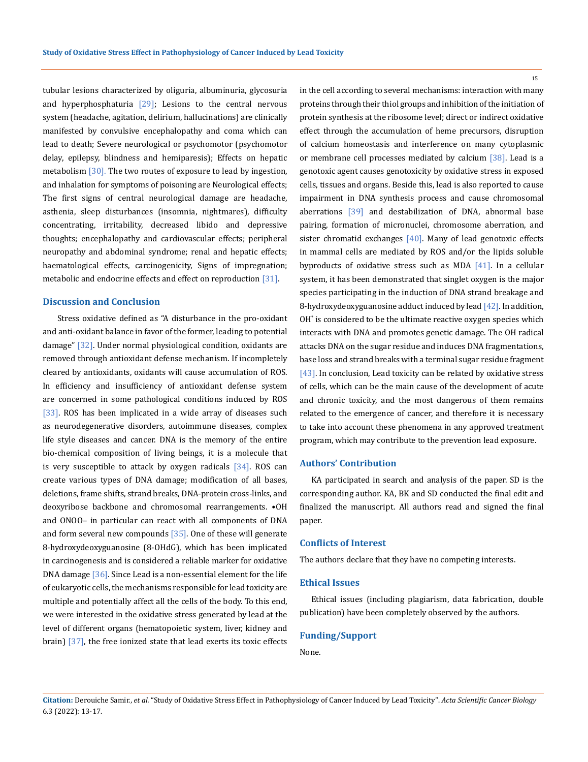tubular lesions characterized by oliguria, albuminuria, glycosuria and hyperphosphaturia  $[29]$ ; Lesions to the central nervous system (headache, agitation, delirium, hallucinations) are clinically manifested by convulsive encephalopathy and coma which can lead to death; Severe neurological or psychomotor (psychomotor delay, epilepsy, blindness and hemiparesis); Effects on hepatic metabolism [30]. The two routes of exposure to lead by ingestion, and inhalation for symptoms of poisoning are Neurological effects; The first signs of central neurological damage are headache, asthenia, sleep disturbances (insomnia, nightmares), difficulty concentrating, irritability, decreased libido and depressive thoughts; encephalopathy and cardiovascular effects; peripheral neuropathy and abdominal syndrome; renal and hepatic effects; haematological effects, carcinogenicity, Signs of impregnation; metabolic and endocrine effects and effect on reproduction [31].

### **Discussion and Conclusion**

 Stress oxidative defined as "A disturbance in the pro-oxidant and anti-oxidant balance in favor of the former, leading to potential damage" [32]. Under normal physiological condition, oxidants are removed through antioxidant defense mechanism. If incompletely cleared by antioxidants, oxidants will cause accumulation of ROS. In efficiency and insufficiency of antioxidant defense system are concerned in some pathological conditions induced by ROS [33]. ROS has been implicated in a wide array of diseases such as neurodegenerative disorders, autoimmune diseases, complex life style diseases and cancer. DNA is the memory of the entire bio-chemical composition of living beings, it is a molecule that is very susceptible to attack by oxygen radicals [34]. ROS can create various types of DNA damage; modification of all bases, deletions, frame shifts, strand breaks, DNA-protein cross-links, and deoxyribose backbone and chromosomal rearrangements. •OH and ONOO– in particular can react with all components of DNA and form several new compounds  $[35]$ . One of these will generate 8-hydroxydeoxyguanosine (8-OHdG), which has been implicated in carcinogenesis and is considered a reliable marker for oxidative DNA damage [36]. Since Lead is a non-essential element for the life of eukaryotic cells, the mechanisms responsible for lead toxicity are multiple and potentially affect all the cells of the body. To this end, we were interested in the oxidative stress generated by lead at the level of different organs (hematopoietic system, liver, kidney and brain) [37], the free ionized state that lead exerts its toxic effects

in the cell according to several mechanisms: interaction with many proteins through their thiol groups and inhibition of the initiation of protein synthesis at the ribosome level; direct or indirect oxidative effect through the accumulation of heme precursors, disruption of calcium homeostasis and interference on many cytoplasmic or membrane cell processes mediated by calcium [38]. Lead is a genotoxic agent causes genotoxicity by oxidative stress in exposed cells, tissues and organs. Beside this, lead is also reported to cause impairment in DNA synthesis process and cause chromosomal aberrations [39] and destabilization of DNA, abnormal base pairing, formation of micronuclei, chromosome aberration, and sister chromatid exchanges  $[40]$ . Many of lead genotoxic effects in mammal cells are mediated by ROS and/or the lipids soluble byproducts of oxidative stress such as MDA [41]. In a cellular system, it has been demonstrated that singlet oxygen is the major species participating in the induction of DNA strand breakage and 8-hydroxydeoxyguanosine adduct induced by lead [42]. In addition, OH\* is considered to be the ultimate reactive oxygen species which interacts with DNA and promotes genetic damage. The OH radical attacks DNA on the sugar residue and induces DNA fragmentations, base loss and strand breaks with a terminal sugar residue fragment [43]. In conclusion, Lead toxicity can be related by oxidative stress of cells, which can be the main cause of the development of acute and chronic toxicity, and the most dangerous of them remains related to the emergence of cancer, and therefore it is necessary to take into account these phenomena in any approved treatment program, which may contribute to the prevention lead exposure.

#### **Authors' Contribution**

KA participated in search and analysis of the paper. SD is the corresponding author. KA, BK and SD conducted the final edit and finalized the manuscript. All authors read and signed the final paper.

#### **Conflicts of Interest**

The authors declare that they have no competing interests.

#### **Ethical Issues**

Ethical issues (including plagiarism, data fabrication, double publication) have been completely observed by the authors.

#### **Funding/Support**

None.

15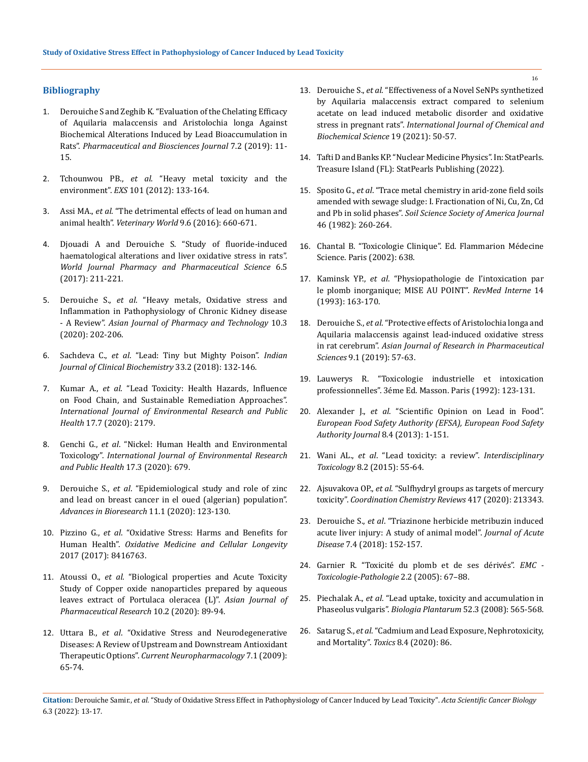# **Bibliography**

- 1. [Derouiche S and Zeghib K. "Evaluation of the Chelating Efficacy](https://www.researchgate.net/publication/332593308_Evaluation_of_the_Chelating_Efficacy_of_Aquilaria_malaccensis_and_Aristolochia_longa_Against_Biochemical_Alterations_Induced_by_Lead_Bioaccumulation_in_Rats)  [of Aquilaria malaccensis and Aristolochia longa Against](https://www.researchgate.net/publication/332593308_Evaluation_of_the_Chelating_Efficacy_of_Aquilaria_malaccensis_and_Aristolochia_longa_Against_Biochemical_Alterations_Induced_by_Lead_Bioaccumulation_in_Rats)  [Biochemical Alterations Induced by Lead Bioaccumulation in](https://www.researchgate.net/publication/332593308_Evaluation_of_the_Chelating_Efficacy_of_Aquilaria_malaccensis_and_Aristolochia_longa_Against_Biochemical_Alterations_Induced_by_Lead_Bioaccumulation_in_Rats)  Rats". *[Pharmaceutical and Biosciences Journal](https://www.researchgate.net/publication/332593308_Evaluation_of_the_Chelating_Efficacy_of_Aquilaria_malaccensis_and_Aristolochia_longa_Against_Biochemical_Alterations_Induced_by_Lead_Bioaccumulation_in_Rats)* 7.2 (2019): 11- [15.](https://www.researchgate.net/publication/332593308_Evaluation_of_the_Chelating_Efficacy_of_Aquilaria_malaccensis_and_Aristolochia_longa_Against_Biochemical_Alterations_Induced_by_Lead_Bioaccumulation_in_Rats)
- 2. Tchounwou PB., *et al*[. "Heavy metal toxicity and the](https://www.ncbi.nlm.nih.gov/pmc/articles/PMC4144270/)  environment". *EXS* [101 \(2012\): 133-164.](https://www.ncbi.nlm.nih.gov/pmc/articles/PMC4144270/)
- 3. Assi MA., *et al*. "The detrimental effects of lead on human and animal health". *Veterinary World* 9.6 (2016): 660-671.
- 4. [Djouadi A and Derouiche S. "Study of fluoride-induced](https://www.researchgate.net/publication/316741944_STUDY_OF_FLUORIDE-INDUCED_HAEMATOLOGICAL_ALTERATIONS_AND_LIVER_OXIDATIVE_STRESS_IN_RATS)  [haematological alterations and liver oxidative stress in rats".](https://www.researchgate.net/publication/316741944_STUDY_OF_FLUORIDE-INDUCED_HAEMATOLOGICAL_ALTERATIONS_AND_LIVER_OXIDATIVE_STRESS_IN_RATS)  *[World Journal Pharmacy and Pharmaceutical Science](https://www.researchgate.net/publication/316741944_STUDY_OF_FLUORIDE-INDUCED_HAEMATOLOGICAL_ALTERATIONS_AND_LIVER_OXIDATIVE_STRESS_IN_RATS)* 6.5 [\(2017\): 211-221.](https://www.researchgate.net/publication/316741944_STUDY_OF_FLUORIDE-INDUCED_HAEMATOLOGICAL_ALTERATIONS_AND_LIVER_OXIDATIVE_STRESS_IN_RATS)
- 5. Derouiche S., *et al*[. "Heavy metals, Oxidative stress and](https://ajptonline.com/Issues.aspx?VID=10&IID=3)  [Inflammation in Pathophysiology of Chronic Kidney disease](https://ajptonline.com/Issues.aspx?VID=10&IID=3)  - A Review". *[Asian Journal of Pharmacy and Technology](https://ajptonline.com/Issues.aspx?VID=10&IID=3)* 10.3 [\(2020\): 202-206.](https://ajptonline.com/Issues.aspx?VID=10&IID=3)
- 6. Sachdeva C., *et al*[. "Lead: Tiny but Mighty Poison".](https://pubmed.ncbi.nlm.nih.gov/29651203/) *Indian [Journal of Clinical Biochemistry](https://pubmed.ncbi.nlm.nih.gov/29651203/)* 33.2 (2018): 132-146.
- 7. Kumar A., *et al*[. "Lead Toxicity: Health Hazards, Influence](https://www.mdpi.com/1660-4601/17/7/2179)  [on Food Chain, and Sustainable Remediation Approaches".](https://www.mdpi.com/1660-4601/17/7/2179)  *[International Journal of Environmental Research and Public](https://www.mdpi.com/1660-4601/17/7/2179)  Health* [17.7 \(2020\): 2179.](https://www.mdpi.com/1660-4601/17/7/2179)
- 8. Genchi G., *et al*. "Nickel: Human Health and Environmental Toxicology". *International Journal of Environmental Research and Public Health* 17.3 (2020): 679.
- 9. Derouiche S., *et al*. "Epidemiological study and role of zinc and lead on breast cancer in el oued (algerian) population". *Advances in Bioresearch* 11.1 (2020): 123-130.
- 10. Pizzino G., *et al*. "Oxidative Stress: Harms and Benefits for Human Health". *Oxidative Medicine and Cellular Longevity*  2017 (2017): 8416763.
- 11. Atoussi O., *et al*[. "Biological properties and Acute Toxicity](https://www.researchgate.net/publication/341884977_Biological_properties_and_Acute_Toxicity_Study_of_Copper_oxide_nanoparticles_prepared_by_aqueous_leaves_extract_of_Portulaca_oleracea_L)  [Study of Copper oxide nanoparticles prepared by aqueous](https://www.researchgate.net/publication/341884977_Biological_properties_and_Acute_Toxicity_Study_of_Copper_oxide_nanoparticles_prepared_by_aqueous_leaves_extract_of_Portulaca_oleracea_L)  [leaves extract of Portulaca oleracea \(L\)".](https://www.researchgate.net/publication/341884977_Biological_properties_and_Acute_Toxicity_Study_of_Copper_oxide_nanoparticles_prepared_by_aqueous_leaves_extract_of_Portulaca_oleracea_L) *Asian Journal of [Pharmaceutical Research](https://www.researchgate.net/publication/341884977_Biological_properties_and_Acute_Toxicity_Study_of_Copper_oxide_nanoparticles_prepared_by_aqueous_leaves_extract_of_Portulaca_oleracea_L)* 10.2 (2020): 89-94.
- 12. Uttara B., *et al*[. "Oxidative Stress and Neurodegenerative](https://www.ncbi.nlm.nih.gov/pmc/articles/PMC2724665/)  [Diseases: A Review of Upstream and Downstream Antioxidant](https://www.ncbi.nlm.nih.gov/pmc/articles/PMC2724665/)  Therapeutic Options". *[Current Neuropharmacology](https://www.ncbi.nlm.nih.gov/pmc/articles/PMC2724665/)* 7.1 (2009): [65-74.](https://www.ncbi.nlm.nih.gov/pmc/articles/PMC2724665/)
- 13. Derouiche S., *et al*. "Effectiveness of a Novel SeNPs synthetized by Aquilaria malaccensis extract compared to selenium acetate on lead induced metabolic disorder and oxidative stress in pregnant rats". *International Journal of Chemical and Biochemical Science* 19 (2021): 50-57.
- 14. [Tafti D and Banks KP. "Nuclear Medicine Physics". In: StatPearls.](https://www.ncbi.nlm.nih.gov/books/NBK568731/)  [Treasure Island \(FL\): StatPearls Publishing \(2022\).](https://www.ncbi.nlm.nih.gov/books/NBK568731/)
- 15. Sposito G., *et al*. "Trace metal chemistry in arid-zone field soils amended with sewage sludge: I. Fractionation of Ni, Cu, Zn, Cd and Pb in solid phases". *Soil Science Society of America Journal* 46 (1982): 260-264.
- 16. Chantal B. "Toxicologie Clinique". Ed. Flammarion Médecine Science. Paris (2002): 638.
- 17. Kaminsk YP., *et al*. "Physiopathologie de I'intoxication par le plomb inorganique; MISE AU POINT". *RevMed Interne* 14 (1993): 163-170.
- 18. Derouiche S., *et al*[. "Protective effects of Aristolochia longa and](https://www.researchgate.net/publication/331806057_Protective_effects_of_Aristolochia_longa_and_Aquilaria_malaccensis_against_lead-induced_oxidative_stress_in_rat_cerebrum)  [Aquilaria malaccensis against lead-induced oxidative stress](https://www.researchgate.net/publication/331806057_Protective_effects_of_Aristolochia_longa_and_Aquilaria_malaccensis_against_lead-induced_oxidative_stress_in_rat_cerebrum)  in rat cerebrum". *[Asian Journal of Research in Pharmaceutical](https://www.researchgate.net/publication/331806057_Protective_effects_of_Aristolochia_longa_and_Aquilaria_malaccensis_against_lead-induced_oxidative_stress_in_rat_cerebrum)  Sciences* [9.1 \(2019\): 57-63.](https://www.researchgate.net/publication/331806057_Protective_effects_of_Aristolochia_longa_and_Aquilaria_malaccensis_against_lead-induced_oxidative_stress_in_rat_cerebrum)
- 19. Lauwerys R. "Toxicologie industrielle et intoxication professionnelles". 3éme Ed. Masson. Paris (1992): 123-131.
- 20. Alexander J., *et al*. "Scientific Opinion on Lead in Food". *European Food Safety Authority (EFSA), European Food Safety Authority Journal* 8.4 (2013): 1-151.
- 21. Wani AL., *et al*[. "Lead toxicity: a review".](https://www.ncbi.nlm.nih.gov/pmc/articles/PMC4961898/) *Interdisciplinary Toxicology* [8.2 \(2015\): 55-64.](https://www.ncbi.nlm.nih.gov/pmc/articles/PMC4961898/)
- 22. Ajsuvakova OP., *et al*[. "Sulfhydryl groups as targets of mercury](https://www.sciencedirect.com/science/article/abs/pii/S0010854520300837)  toxicity". *[Coordination Chemistry Reviews](https://www.sciencedirect.com/science/article/abs/pii/S0010854520300837)* 417 (2020): 213343.
- 23. Derouiche S., *et al*[. "Triazinone herbicide metribuzin induced](https://jadweb.org/article.asp?issn=2221-6189;year=2018;volume=7;issue=4;spage=152;epage=157;aulast=Samir)  [acute liver injury: A study of animal model".](https://jadweb.org/article.asp?issn=2221-6189;year=2018;volume=7;issue=4;spage=152;epage=157;aulast=Samir) *Journal of Acute Disease* [7.4 \(2018\): 152-157.](https://jadweb.org/article.asp?issn=2221-6189;year=2018;volume=7;issue=4;spage=152;epage=157;aulast=Samir)
- 24. Garnier R. "Toxicité du plomb et de ses dérivés". *EMC Toxicologie-Pathologie* 2.2 (2005): 67–88.
- 25. Piechalak A., *et al*[. "Lead uptake, toxicity and accumulation in](https://www.researchgate.net/publication/225365352_Lead_uptake_toxicity_and_accumulation_in_Phaseolus_vulgaris_plants)  Phaseolus vulgaris". *[Biologia Plantarum](https://www.researchgate.net/publication/225365352_Lead_uptake_toxicity_and_accumulation_in_Phaseolus_vulgaris_plants)* 52.3 (2008): 565-568.
- 26. Satarug S., *et al*[. "Cadmium and Lead Exposure, Nephrotoxicity,](https://pubmed.ncbi.nlm.nih.gov/33066165/)  and Mortality". *Toxics* [8.4 \(2020\): 86.](https://pubmed.ncbi.nlm.nih.gov/33066165/)

16

**Citation:** Derouiche Samir., *et al.* "Study of Oxidative Stress Effect in Pathophysiology of Cancer Induced by Lead Toxicity". *Acta Scientific Cancer Biology*  6.3 (2022): 13-17.